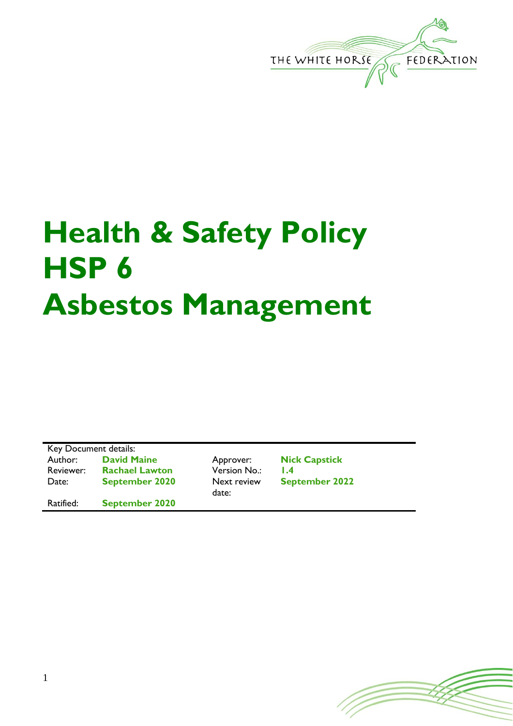

## **Health & Safety Policy HSP 6 Asbestos Management**

Key Document details: Author: **David Maine** Approver: **Nick Capstick** Reviewer: **Rachael Lawton** Version No.: **1.4** Date: **September 2020** Next review

Ratified: **September 2020**

date:

**September 2022**

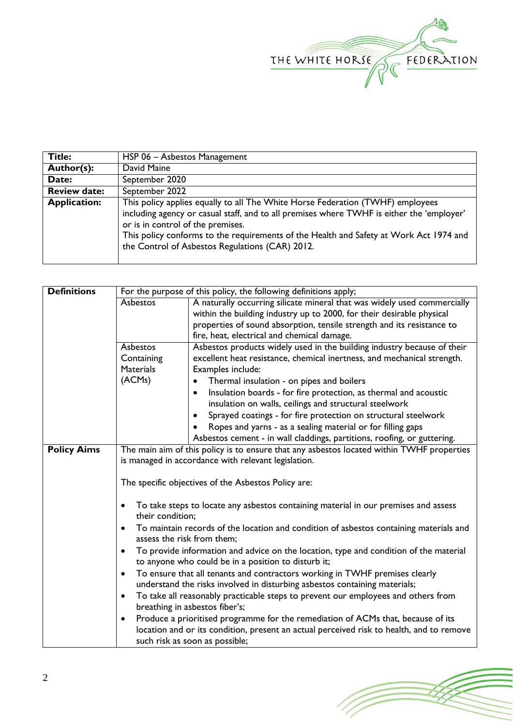

| <b>Title:</b>       | HSP 06 - Asbestos Management                                                                                                                                                                                                                                                                                                                                  |
|---------------------|---------------------------------------------------------------------------------------------------------------------------------------------------------------------------------------------------------------------------------------------------------------------------------------------------------------------------------------------------------------|
| Author(s):          | David Maine                                                                                                                                                                                                                                                                                                                                                   |
| Date:               | September 2020                                                                                                                                                                                                                                                                                                                                                |
| <b>Review date:</b> | September 2022                                                                                                                                                                                                                                                                                                                                                |
| <b>Application:</b> | This policy applies equally to all The White Horse Federation (TWHF) employees<br>including agency or casual staff, and to all premises where TWHF is either the 'employer'<br>or is in control of the premises.<br>This policy conforms to the requirements of the Health and Safety at Work Act 1974 and<br>the Control of Asbestos Regulations (CAR) 2012. |

| <b>Definitions</b> | For the purpose of this policy, the following definitions apply;                                   |                                                                                                                                                           |  |  |
|--------------------|----------------------------------------------------------------------------------------------------|-----------------------------------------------------------------------------------------------------------------------------------------------------------|--|--|
|                    | Asbestos<br>A naturally occurring silicate mineral that was widely used commercially               |                                                                                                                                                           |  |  |
|                    |                                                                                                    | within the building industry up to 2000, for their desirable physical                                                                                     |  |  |
|                    |                                                                                                    | properties of sound absorption, tensile strength and its resistance to                                                                                    |  |  |
|                    |                                                                                                    | fire, heat, electrical and chemical damage.                                                                                                               |  |  |
|                    | Asbestos                                                                                           | Asbestos products widely used in the building industry because of their                                                                                   |  |  |
|                    | Containing                                                                                         | excellent heat resistance, chemical inertness, and mechanical strength.                                                                                   |  |  |
|                    | <b>Materials</b>                                                                                   | Examples include:                                                                                                                                         |  |  |
|                    | (ACMs)                                                                                             | Thermal insulation - on pipes and boilers<br>$\bullet$                                                                                                    |  |  |
|                    |                                                                                                    | Insulation boards - for fire protection, as thermal and acoustic<br>$\bullet$                                                                             |  |  |
|                    |                                                                                                    | insulation on walls, ceilings and structural steelwork                                                                                                    |  |  |
|                    |                                                                                                    | Sprayed coatings - for fire protection on structural steelwork<br>٠                                                                                       |  |  |
|                    |                                                                                                    | Ropes and yarns - as a sealing material or for filling gaps                                                                                               |  |  |
|                    |                                                                                                    | Asbestos cement - in wall claddings, partitions, roofing, or guttering.                                                                                   |  |  |
| <b>Policy Aims</b> | The main aim of this policy is to ensure that any asbestos located within TWHF properties          |                                                                                                                                                           |  |  |
|                    |                                                                                                    | is managed in accordance with relevant legislation.                                                                                                       |  |  |
|                    |                                                                                                    |                                                                                                                                                           |  |  |
|                    |                                                                                                    | The specific objectives of the Asbestos Policy are:                                                                                                       |  |  |
|                    |                                                                                                    |                                                                                                                                                           |  |  |
|                    |                                                                                                    | To take steps to locate any asbestos containing material in our premises and assess                                                                       |  |  |
|                    | their condition:                                                                                   |                                                                                                                                                           |  |  |
|                    |                                                                                                    | To maintain records of the location and condition of asbestos containing materials and                                                                    |  |  |
|                    | assess the risk from them;                                                                         |                                                                                                                                                           |  |  |
|                    | To provide information and advice on the location, type and condition of the material<br>$\bullet$ |                                                                                                                                                           |  |  |
|                    | to anyone who could be in a position to disturb it;                                                |                                                                                                                                                           |  |  |
|                    |                                                                                                    | To ensure that all tenants and contractors working in TWHF premises clearly<br>understand the risks involved in disturbing asbestos containing materials; |  |  |
|                    |                                                                                                    |                                                                                                                                                           |  |  |
|                    |                                                                                                    | To take all reasonably practicable steps to prevent our employees and others from                                                                         |  |  |
|                    |                                                                                                    | breathing in asbestos fiber's;                                                                                                                            |  |  |
|                    | $\bullet$                                                                                          | Produce a prioritised programme for the remediation of ACMs that, because of its                                                                          |  |  |
|                    |                                                                                                    | location and or its condition, present an actual perceived risk to health, and to remove                                                                  |  |  |
|                    | such risk as soon as possible;                                                                     |                                                                                                                                                           |  |  |

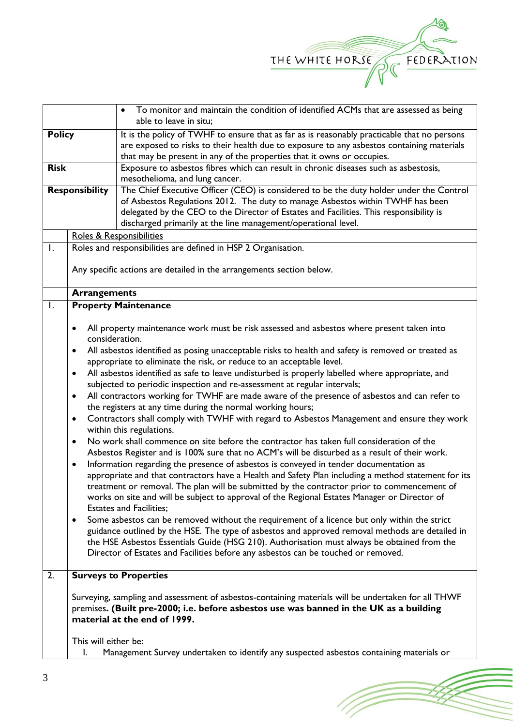

(T

|                  |                             | To monitor and maintain the condition of identified ACMs that are assessed as being                                                                                                                |  |
|------------------|-----------------------------|----------------------------------------------------------------------------------------------------------------------------------------------------------------------------------------------------|--|
| <b>Policy</b>    |                             | able to leave in situ;<br>It is the policy of TWHF to ensure that as far as is reasonably practicable that no persons                                                                              |  |
|                  |                             | are exposed to risks to their health due to exposure to any asbestos containing materials                                                                                                          |  |
| <b>Risk</b>      |                             | that may be present in any of the properties that it owns or occupies.<br>Exposure to asbestos fibres which can result in chronic diseases such as asbestosis,                                     |  |
|                  |                             | mesothelioma, and lung cancer.                                                                                                                                                                     |  |
|                  | <b>Responsibility</b>       | The Chief Executive Officer (CEO) is considered to be the duty holder under the Control                                                                                                            |  |
|                  |                             | of Asbestos Regulations 2012. The duty to manage Asbestos within TWHF has been                                                                                                                     |  |
|                  |                             | delegated by the CEO to the Director of Estates and Facilities. This responsibility is<br>discharged primarily at the line management/operational level.                                           |  |
|                  |                             | Roles & Responsibilities                                                                                                                                                                           |  |
| $\mathsf{I}$ .   |                             | Roles and responsibilities are defined in HSP 2 Organisation.                                                                                                                                      |  |
|                  |                             |                                                                                                                                                                                                    |  |
|                  |                             | Any specific actions are detailed in the arrangements section below.                                                                                                                               |  |
|                  | <b>Arrangements</b>         |                                                                                                                                                                                                    |  |
| $\mathsf{L}$     |                             | <b>Property Maintenance</b>                                                                                                                                                                        |  |
|                  | $\bullet$                   | All property maintenance work must be risk assessed and asbestos where present taken into                                                                                                          |  |
|                  | consideration.<br>$\bullet$ | All asbestos identified as posing unacceptable risks to health and safety is removed or treated as                                                                                                 |  |
|                  |                             | appropriate to eliminate the risk, or reduce to an acceptable level.                                                                                                                               |  |
|                  | $\bullet$                   | All asbestos identified as safe to leave undisturbed is properly labelled where appropriate, and                                                                                                   |  |
|                  |                             | subjected to periodic inspection and re-assessment at regular intervals;                                                                                                                           |  |
|                  | $\bullet$                   | All contractors working for TWHF are made aware of the presence of asbestos and can refer to                                                                                                       |  |
|                  |                             | the registers at any time during the normal working hours;                                                                                                                                         |  |
|                  | $\bullet$                   | Contractors shall comply with TWHF with regard to Asbestos Management and ensure they work<br>within this regulations.                                                                             |  |
|                  | $\bullet$                   | No work shall commence on site before the contractor has taken full consideration of the                                                                                                           |  |
|                  |                             | Asbestos Register and is 100% sure that no ACM's will be disturbed as a result of their work.                                                                                                      |  |
|                  | $\bullet$                   | Information regarding the presence of asbestos is conveyed in tender documentation as                                                                                                              |  |
|                  |                             | appropriate and that contractors have a Health and Safety Plan including a method statement for its<br>treatment or removal. The plan will be submitted by the contractor prior to commencement of |  |
|                  |                             | works on site and will be subject to approval of the Regional Estates Manager or Director of                                                                                                       |  |
|                  |                             | <b>Estates and Facilities;</b>                                                                                                                                                                     |  |
|                  | $\bullet$                   | Some asbestos can be removed without the requirement of a licence but only within the strict                                                                                                       |  |
|                  |                             | guidance outlined by the HSE. The type of asbestos and approved removal methods are detailed in<br>the HSE Asbestos Essentials Guide (HSG 210). Authorisation must always be obtained from the     |  |
|                  |                             | Director of Estates and Facilities before any asbestos can be touched or removed.                                                                                                                  |  |
|                  |                             |                                                                                                                                                                                                    |  |
| $\overline{2}$ . |                             | <b>Surveys to Properties</b>                                                                                                                                                                       |  |
|                  |                             | Surveying, sampling and assessment of asbestos-containing materials will be undertaken for all THWF                                                                                                |  |
|                  |                             | premises. (Built pre-2000; i.e. before asbestos use was banned in the UK as a building                                                                                                             |  |
|                  |                             | material at the end of 1999.                                                                                                                                                                       |  |
|                  | This will either be:        |                                                                                                                                                                                                    |  |
|                  | I.                          | Management Survey undertaken to identify any suspected asbestos containing materials or                                                                                                            |  |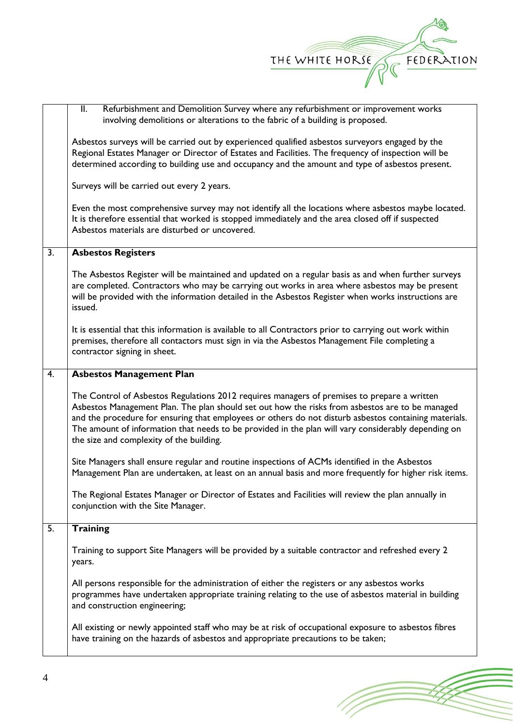

(T

|                  | Refurbishment and Demolition Survey where any refurbishment or improvement works<br>II.                 |  |  |
|------------------|---------------------------------------------------------------------------------------------------------|--|--|
|                  | involving demolitions or alterations to the fabric of a building is proposed.                           |  |  |
|                  |                                                                                                         |  |  |
|                  | Asbestos surveys will be carried out by experienced qualified asbestos surveyors engaged by the         |  |  |
|                  | Regional Estates Manager or Director of Estates and Facilities. The frequency of inspection will be     |  |  |
|                  | determined according to building use and occupancy and the amount and type of asbestos present.         |  |  |
|                  |                                                                                                         |  |  |
|                  | Surveys will be carried out every 2 years.                                                              |  |  |
|                  | Even the most comprehensive survey may not identify all the locations where asbestos maybe located.     |  |  |
|                  | It is therefore essential that worked is stopped immediately and the area closed off if suspected       |  |  |
|                  | Asbestos materials are disturbed or uncovered.                                                          |  |  |
|                  |                                                                                                         |  |  |
| $\overline{3}$ . | <b>Asbestos Registers</b>                                                                               |  |  |
|                  | The Asbestos Register will be maintained and updated on a regular basis as and when further surveys     |  |  |
|                  | are completed. Contractors who may be carrying out works in area where asbestos may be present          |  |  |
|                  | will be provided with the information detailed in the Asbestos Register when works instructions are     |  |  |
|                  | issued.                                                                                                 |  |  |
|                  |                                                                                                         |  |  |
|                  | It is essential that this information is available to all Contractors prior to carrying out work within |  |  |
|                  | premises, therefore all contactors must sign in via the Asbestos Management File completing a           |  |  |
|                  | contractor signing in sheet.                                                                            |  |  |
|                  |                                                                                                         |  |  |
| 4.               | <b>Asbestos Management Plan</b>                                                                         |  |  |
|                  | The Control of Asbestos Regulations 2012 requires managers of premises to prepare a written             |  |  |
|                  | Asbestos Management Plan. The plan should set out how the risks from asbestos are to be managed         |  |  |
|                  | and the procedure for ensuring that employees or others do not disturb asbestos containing materials.   |  |  |
|                  | The amount of information that needs to be provided in the plan will vary considerably depending on     |  |  |
|                  | the size and complexity of the building.                                                                |  |  |
|                  |                                                                                                         |  |  |
|                  | Site Managers shall ensure regular and routine inspections of ACMs identified in the Asbestos           |  |  |
|                  | Management Plan are undertaken, at least on an annual basis and more frequently for higher risk items.  |  |  |
|                  | The Regional Estates Manager or Director of Estates and Facilities will review the plan annually in     |  |  |
|                  | conjunction with the Site Manager.                                                                      |  |  |
|                  |                                                                                                         |  |  |
| 5.               | <b>Training</b>                                                                                         |  |  |
|                  | Training to support Site Managers will be provided by a suitable contractor and refreshed every 2       |  |  |
|                  | years.                                                                                                  |  |  |
|                  |                                                                                                         |  |  |
|                  | All persons responsible for the administration of either the registers or any asbestos works            |  |  |
|                  | programmes have undertaken appropriate training relating to the use of asbestos material in building    |  |  |
|                  | and construction engineering;                                                                           |  |  |
|                  |                                                                                                         |  |  |
|                  | All existing or newly appointed staff who may be at risk of occupational exposure to asbestos fibres    |  |  |
|                  |                                                                                                         |  |  |
|                  | have training on the hazards of asbestos and appropriate precautions to be taken;                       |  |  |
|                  |                                                                                                         |  |  |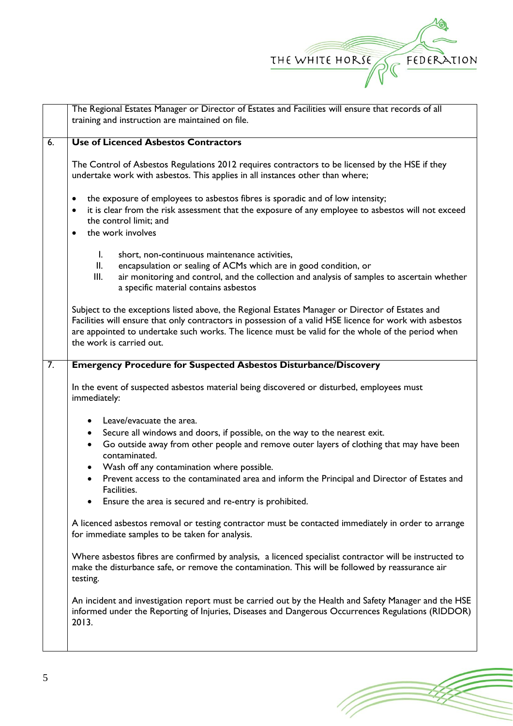

|                  | The Regional Estates Manager or Director of Estates and Facilities will ensure that records of all<br>training and instruction are maintained on file.                                                                                                                                                                                       |  |  |
|------------------|----------------------------------------------------------------------------------------------------------------------------------------------------------------------------------------------------------------------------------------------------------------------------------------------------------------------------------------------|--|--|
| 6.               | <b>Use of Licenced Asbestos Contractors</b>                                                                                                                                                                                                                                                                                                  |  |  |
|                  | The Control of Asbestos Regulations 2012 requires contractors to be licensed by the HSE if they<br>undertake work with asbestos. This applies in all instances other than where;                                                                                                                                                             |  |  |
|                  | the exposure of employees to asbestos fibres is sporadic and of low intensity;<br>٠<br>it is clear from the risk assessment that the exposure of any employee to asbestos will not exceed<br>$\bullet$<br>the control limit; and<br>the work involves<br>$\bullet$                                                                           |  |  |
|                  | short, non-continuous maintenance activities,<br>$\mathbf{I}$ .<br>encapsulation or sealing of ACMs which are in good condition, or<br>II.<br>III.<br>air monitoring and control, and the collection and analysis of samples to ascertain whether<br>a specific material contains asbestos                                                   |  |  |
|                  | Subject to the exceptions listed above, the Regional Estates Manager or Director of Estates and<br>Facilities will ensure that only contractors in possession of a valid HSE licence for work with asbestos<br>are appointed to undertake such works. The licence must be valid for the whole of the period when<br>the work is carried out. |  |  |
| $\overline{7}$ . | <b>Emergency Procedure for Suspected Asbestos Disturbance/Discovery</b>                                                                                                                                                                                                                                                                      |  |  |
|                  | In the event of suspected asbestos material being discovered or disturbed, employees must<br>immediately:                                                                                                                                                                                                                                    |  |  |
|                  | Leave/evacuate the area.                                                                                                                                                                                                                                                                                                                     |  |  |
|                  | Secure all windows and doors, if possible, on the way to the nearest exit.<br>$\bullet$<br>Go outside away from other people and remove outer layers of clothing that may have been<br>$\bullet$<br>contaminated.                                                                                                                            |  |  |
|                  | Wash off any contamination where possible.<br>$\bullet$                                                                                                                                                                                                                                                                                      |  |  |
|                  | Prevent access to the contaminated area and inform the Principal and Director of Estates and<br>$\bullet$<br>Facilities.                                                                                                                                                                                                                     |  |  |
|                  | Ensure the area is secured and re-entry is prohibited.                                                                                                                                                                                                                                                                                       |  |  |
|                  | A licenced asbestos removal or testing contractor must be contacted immediately in order to arrange<br>for immediate samples to be taken for analysis.                                                                                                                                                                                       |  |  |
|                  | Where asbestos fibres are confirmed by analysis, a licenced specialist contractor will be instructed to<br>make the disturbance safe, or remove the contamination. This will be followed by reassurance air<br>testing.                                                                                                                      |  |  |
|                  | An incident and investigation report must be carried out by the Health and Safety Manager and the HSE<br>informed under the Reporting of Injuries, Diseases and Dangerous Occurrences Regulations (RIDDOR)<br>2013.                                                                                                                          |  |  |
|                  |                                                                                                                                                                                                                                                                                                                                              |  |  |